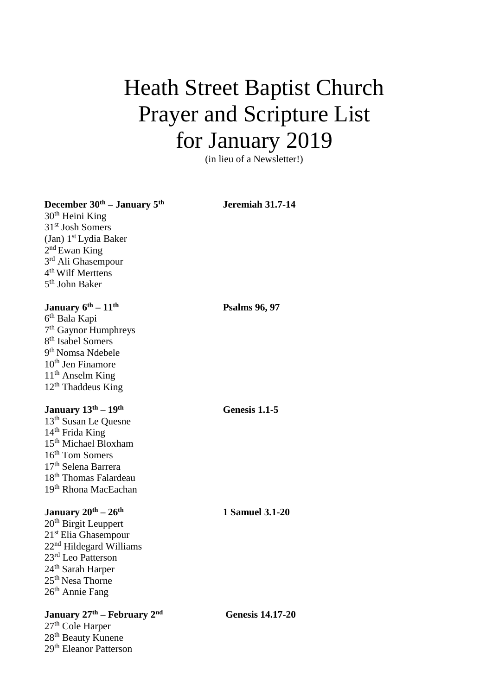## Heath Street Baptist Church Prayer and Scripture List for January 2019

(in lieu of a Newsletter!)

| December $30th$ – January $5th$           | <b>Jeremiah 31.7-14</b> |
|-------------------------------------------|-------------------------|
| $30th$ Heini King                         |                         |
| 31 <sup>st</sup> Josh Somers              |                         |
| (Jan) $1st Lydia Baker$                   |                         |
| 2 <sup>nd</sup> Ewan King                 |                         |
| 3rd Ali Ghasempour                        |                         |
| 4 <sup>th</sup> Wilf Merttens             |                         |
| 5 <sup>th</sup> John Baker                |                         |
|                                           |                         |
| January $6th - 11th$                      | <b>Psalms 96, 97</b>    |
| 6 <sup>th</sup> Bala Kapi                 |                         |
| 7 <sup>th</sup> Gaynor Humphreys          |                         |
| 8 <sup>th</sup> Isabel Somers             |                         |
| 9 <sup>th</sup> Nomsa Ndebele             |                         |
| 10 <sup>th</sup> Jen Finamore             |                         |
| 11 <sup>th</sup> Anselm King              |                         |
| $12th$ Thaddeus King                      |                         |
|                                           |                         |
| January $13th - 19th$                     | Genesis 1.1-5           |
| 13 <sup>th</sup> Susan Le Quesne          |                         |
| $14th$ Frida King                         |                         |
| 15 <sup>th</sup> Michael Bloxham          |                         |
| 16 <sup>th</sup> Tom Somers               |                         |
| 17 <sup>th</sup> Selena Barrera           |                         |
| 18 <sup>th</sup> Thomas Falardeau         |                         |
| 19 <sup>th</sup> Rhona MacEachan          |                         |
|                                           |                         |
| January $20^{\text{th}} - 26^{\text{th}}$ | <b>1 Samuel 3.1-20</b>  |
| 20 <sup>th</sup> Birgit Leuppert          |                         |
| 21 <sup>st</sup> Elia Ghasempour          |                         |
| 22 <sup>nd</sup> Hildegard Williams       |                         |
| 23 <sup>rd</sup> Leo Patterson            |                         |
| 24 <sup>th</sup> Sarah Harper             |                         |
| 25 <sup>th</sup> Nesa Thorne              |                         |
| 26 <sup>th</sup> Annie Fang               |                         |
|                                           |                         |
| January 27th - February 2nd               | <b>Genesis 14.17-20</b> |
| 27 <sup>th</sup> Cole Harper              |                         |
| 28 <sup>th</sup> Beauty Kunene            |                         |
| 29 <sup>th</sup> Eleanor Patterson        |                         |